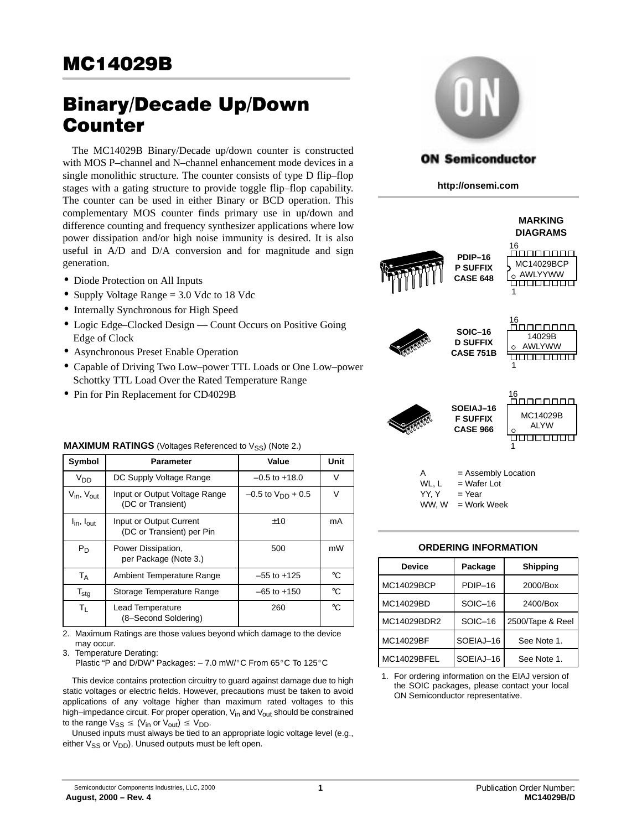# Binary/Decade Up/Down Counter

The MC14029B Binary/Decade up/down counter is constructed with MOS P–channel and N–channel enhancement mode devices in a single monolithic structure. The counter consists of type D flip–flop stages with a gating structure to provide toggle flip–flop capability. The counter can be used in either Binary or BCD operation. This complementary MOS counter finds primary use in up/down and difference counting and frequency synthesizer applications where low power dissipation and/or high noise immunity is desired. It is also useful in A/D and D/A conversion and for magnitude and sign generation.

- Diode Protection on All Inputs
- Supply Voltage Range = 3.0 Vdc to 18 Vdc
- Internally Synchronous for High Speed
- Logic Edge–Clocked Design Count Occurs on Positive Going Edge of Clock
- Asynchronous Preset Enable Operation
- Capable of Driving Two Low–power TTL Loads or One Low–power Schottky TTL Load Over the Rated Temperature Range
- Pin for Pin Replacement for CD4029B

| <b>MAAIMUM KATHYOO</b> (VOIIages Kelefenced to VSS) (IVOIE 2.) |                                                      |                          |             |  |  |  |  |
|----------------------------------------------------------------|------------------------------------------------------|--------------------------|-------------|--|--|--|--|
| Symbol                                                         | Parameter                                            | Value                    | Unit        |  |  |  |  |
| V <sub>DD</sub>                                                | DC Supply Voltage Range                              | $-0.5$ to $+18.0$        | V           |  |  |  |  |
| $V_{\text{in}}$ , $V_{\text{out}}$                             | Input or Output Voltage Range<br>(DC or Transient)   | $-0.5$ to $V_{DD}$ + 0.5 | V           |  |  |  |  |
| $I_{\text{in}}$ , $I_{\text{out}}$                             | Input or Output Current<br>(DC or Transient) per Pin | ±10                      | mA          |  |  |  |  |
| $P_D$                                                          | Power Dissipation,<br>per Package (Note 3.)          | 500                      | mW          |  |  |  |  |
| $T_A$                                                          | Ambient Temperature Range                            | $-55$ to $+125$          | °C          |  |  |  |  |
| $T_{\text{stg}}$                                               | Storage Temperature Range                            | $-65$ to $+150$          | $^{\circ}C$ |  |  |  |  |
| $T_{L}$                                                        | Lead Temperature<br>(8-Second Soldering)             | 260                      | $^{\circ}C$ |  |  |  |  |

2. Maximum Ratings are those values beyond which damage to the device may occur.

3. Temperature Derating:

Plastic "P and D/DW" Packages:  $-7.0$  mW/ $\degree$ C From 65 $\degree$ C To 125 $\degree$ C

This device contains protection circuitry to guard against damage due to high static voltages or electric fields. However, precautions must be taken to avoid applications of any voltage higher than maximum rated voltages to this high–impedance circuit. For proper operation,  $V_{in}$  and  $V_{out}$  should be constrained to the range  $V_{SS} \leq (V_{in} \text{ or } V_{out}) \leq V_{DD}$ .

Unused inputs must always be tied to an appropriate logic voltage level (e.g., either  $V_{SS}$  or  $V_{DD}$ ). Unused outputs must be left open.



#### **ON Semiconductor**

**http://onsemi.com**

Ŷ

|          |                                                 | <b>MARKING</b><br><b>DIAGRAMS</b>  |
|----------|-------------------------------------------------|------------------------------------|
|          | PDIP-16<br><b>P SUFFIX</b><br><b>CASE 648</b>   | 16<br>MC14029BCP<br>AWLYYWW<br>1   |
|          | SOIC-16<br><b>D SUFFIX</b><br><b>CASE 751B</b>  | 16<br>14029B<br><b>AWLYWW</b><br>1 |
| Received | SOEIAJ-16<br><b>F SUFFIX</b><br><b>CASE 966</b> | 16<br>MC14029B<br><b>ALYW</b>      |

| А     | $=$ Assembly Location |
|-------|-----------------------|
| WL, L | $=$ Wafer Lot         |
| YY. Y | $=$ Year              |
| WW. W | = Work Week           |

#### **ORDERING INFORMATION**

| <b>Device</b> | Package   | <b>Shipping</b>  |
|---------------|-----------|------------------|
| MC14029BCP    | PDIP-16   | 2000/Box         |
| MC14029BD     | SOIC-16   | 2400/Box         |
| MC14029BDR2   | SOIC-16   | 2500/Tape & Reel |
| MC14029BF     | SOEIAJ-16 | See Note 1.      |
| MC14029BFEL   | SOEIAJ-16 | See Note 1.      |

1. For ordering information on the EIAJ version of the SOIC packages, please contact your local ON Semiconductor representative.

# **MAXIMUM RATINGS** (Voltages Referenced to Vss) (Note 2.)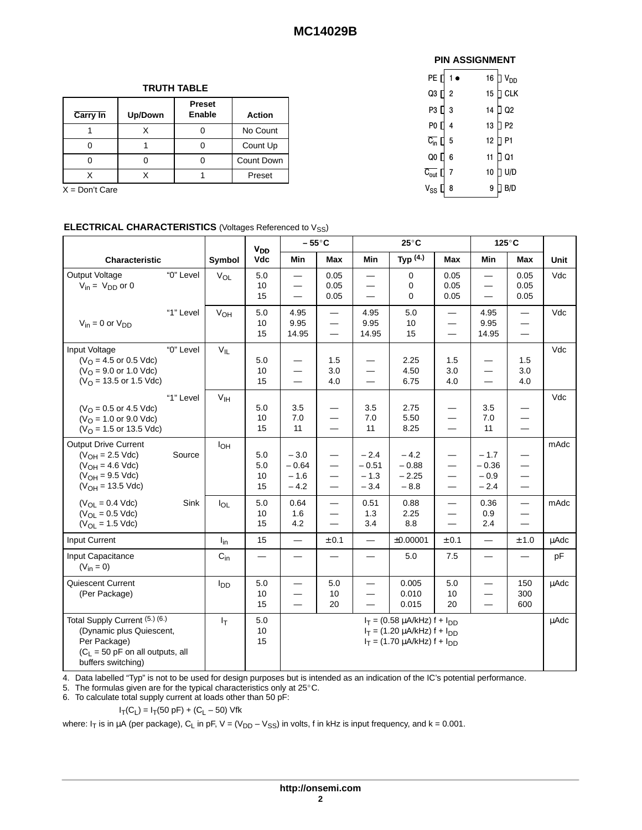#### **TRUTH TABLE**

| <b>Carry In</b> | Up/Down | <b>Preset</b><br><b>Enable</b> | <b>Action</b> |
|-----------------|---------|--------------------------------|---------------|
|                 |         |                                | No Count      |
|                 |         |                                | Count Up      |
|                 |         |                                | Count Down    |
|                 |         |                                | Preset        |

 $X = Don't Care$ 

|                                                                                                                                        | <b>V<sub>DD</sub></b> |                 |                        | $-55^{\circ}$ C<br>$25^{\circ}$ C<br>$125^{\circ}$ C      |                                                                                                |                                                                           |                                                                                                                   |                                                                                      |                                                                    |                                                                   |      |
|----------------------------------------------------------------------------------------------------------------------------------------|-----------------------|-----------------|------------------------|-----------------------------------------------------------|------------------------------------------------------------------------------------------------|---------------------------------------------------------------------------|-------------------------------------------------------------------------------------------------------------------|--------------------------------------------------------------------------------------|--------------------------------------------------------------------|-------------------------------------------------------------------|------|
| Characteristic                                                                                                                         |                       | Symbol          | Vdc                    | Min                                                       | Max                                                                                            | Min                                                                       | Typ (4.)                                                                                                          | Max                                                                                  | Min                                                                | Max                                                               | Unit |
| Output Voltage<br>$V_{in} = V_{DD}$ or 0                                                                                               | "0" Level             | $V_{OL}$        | 5.0<br>10<br>15        | $\overline{\phantom{m}}$<br>$\qquad \qquad -$<br>$\equiv$ | 0.05<br>0.05<br>0.05                                                                           | $=$                                                                       | $\mathbf 0$<br>$\mathbf 0$<br>$\mathbf 0$                                                                         | 0.05<br>0.05<br>0.05                                                                 | $\overline{\phantom{m}}$<br>$\overline{\phantom{0}}$               | 0.05<br>0.05<br>0.05                                              | Vdc  |
| $V_{in} = 0$ or $V_{DD}$                                                                                                               | "1" Level             | V <sub>OH</sub> | 5.0<br>10<br>15        | 4.95<br>9.95<br>14.95                                     | $\overline{\phantom{m}}$<br>$\overline{\phantom{m}}$<br>$\overline{\phantom{m}}$               | 4.95<br>9.95<br>14.95                                                     | 5.0<br>10<br>15                                                                                                   | $\overline{\phantom{m}}$<br>$\overline{\phantom{m}}$<br>$\qquad \qquad =$            | 4.95<br>9.95<br>14.95                                              | $\qquad \qquad$                                                   | Vdc  |
| Input Voltage<br>$(VO = 4.5$ or 0.5 Vdc)<br>$(VO = 9.0$ or 1.0 Vdc)<br>$(VO = 13.5$ or 1.5 Vdc)                                        | "0" Level             | $V_{IL}$        | 5.0<br>10<br>15        | $\equiv$<br>$\overline{\phantom{0}}$                      | 1.5<br>3.0<br>4.0                                                                              | $\overline{\phantom{0}}$                                                  | 2.25<br>4.50<br>6.75                                                                                              | 1.5<br>3.0<br>4.0                                                                    | $\qquad \qquad -$<br>$\qquad \qquad -$<br>$\equiv$                 | 1.5<br>3.0<br>4.0                                                 | Vdc  |
| $(VO = 0.5$ or 4.5 Vdc)<br>$(VO = 1.0$ or 9.0 Vdc)<br>$(VO = 1.5$ or 13.5 Vdc)                                                         | "1" Level             | $V_{\text{IH}}$ | 5.0<br>10<br>15        | 3.5<br>7.0<br>11                                          | $\overline{\phantom{m}}$<br>$\overline{\phantom{m}}$<br>$\qquad \qquad -$                      | 3.5<br>7.0<br>11                                                          | 2.75<br>5.50<br>8.25                                                                                              | $\overline{\phantom{m}}$<br>$\qquad \qquad -$<br>$\overline{\phantom{m}}$            | 3.5<br>7.0<br>11                                                   | $\overline{\phantom{0}}$                                          | Vdc  |
| <b>Output Drive Current</b><br>$(V_{OH} = 2.5$ Vdc)<br>$(V_{OH} = 4.6$ Vdc)<br>$(V_{OH} = 9.5$ Vdc)<br>$(V_{OH} = 13.5$ Vdc)           | Source                | I <sub>OH</sub> | 5.0<br>5.0<br>10<br>15 | $-3.0$<br>$-0.64$<br>$-1.6$<br>$-4.2$                     | $\overline{\phantom{m}}$<br>$\overline{\phantom{m}}$<br>$\qquad \qquad -$<br>$\hspace{0.05cm}$ | $-2.4$<br>$-0.51$<br>$-1.3$<br>$-3.4$                                     | $-4.2$<br>$-0.88$<br>$-2.25$<br>$-8.8$                                                                            | $\qquad \qquad -$<br>$\hspace{0.05cm}$<br>$\equiv$<br>$\qquad \qquad \longleftarrow$ | $-1.7$<br>$-0.36$<br>$-0.9$<br>$-2.4$                              | $\qquad \qquad$<br>$\qquad \qquad$<br>$\qquad \qquad$<br>$\equiv$ | mAdc |
| $(V_{\text{OI}} = 0.4 \text{ Vdc})$<br>$(V_{OL} = 0.5$ Vdc)<br>$(V_{OL} = 1.5$ Vdc)                                                    | Sink                  | $I_{OL}$        | 5.0<br>10<br>15        | 0.64<br>1.6<br>4.2                                        | $\qquad \qquad -$<br>$\overbrace{\phantom{12322111}}$                                          | 0.51<br>1.3<br>3.4                                                        | 0.88<br>2.25<br>8.8                                                                                               | $\qquad \qquad -$<br>$\qquad \qquad$<br>$\qquad \qquad -$                            | 0.36<br>0.9<br>2.4                                                 | $\equiv$<br>$\overbrace{\phantom{12322111}}$                      | mAdc |
| Input Current                                                                                                                          |                       | $I_{in}$        | 15                     | $-$                                                       | ± 0.1                                                                                          |                                                                           | ±0.00001                                                                                                          | ± 0.1                                                                                | $=$                                                                | ± 1.0                                                             | μAdc |
| Input Capacitance<br>$(V_{in} = 0)$                                                                                                    |                       | $C_{in}$        | $\qquad \qquad$        | $\overline{\phantom{m}}$                                  | $\hspace{0.05cm}$                                                                              | $\qquad \qquad =$                                                         | 5.0                                                                                                               | 7.5                                                                                  | $\overline{\phantom{0}}$                                           | $\overline{\phantom{0}}$                                          | pF   |
| Quiescent Current<br>(Per Package)                                                                                                     |                       | l <sub>DD</sub> | 5.0<br>10<br>15        | $\qquad \qquad -$<br>$\overline{\phantom{0}}$             | 5.0<br>10<br>20                                                                                | $\overline{\phantom{0}}$<br>$\qquad \qquad -$<br>$\overline{\phantom{0}}$ | 0.005<br>0.010<br>0.015                                                                                           | 5.0<br>10<br>20                                                                      | $\overline{\phantom{m}}$<br>$\qquad \qquad -$<br>$\qquad \qquad -$ | 150<br>300<br>600                                                 | uAdc |
| Total Supply Current (5.) (6.)<br>(Dynamic plus Quiescent,<br>Per Package)<br>$(C_L = 50$ pF on all outputs, all<br>buffers switching) |                       | $I_T$           | $5.0\,$<br>10<br>15    |                                                           |                                                                                                |                                                                           | $I_T = (0.58 \mu A/kHz) f + I_{DD}$<br>$I_T = (1.20 \mu A/kHz) f + I_{DD}$<br>$I_T = (1.70 \mu A/kHz) f + I_{DD}$ |                                                                                      |                                                                    |                                                                   | μAdc |

4. Data labelled "Typ" is not to be used for design purposes but is intended as an indication of the IC's potential performance.<br>5. The formulas given are for the typical characteristics only at 25°C.

6. To calculate total supply current at loads other than 50 pF:

 $I_T(C_L) = I_T(50 \text{ pF}) + (C_L - 50) \text{ Vfk}$ 

where:  $I_T$  is in  $\mu A$  (per package), C<sub>L</sub> in pF, V = (V<sub>DD</sub> – V<sub>SS</sub>) in volts, f in kHz is input frequency, and k = 0.001.

| <b>PIN ASSIGNMENT</b>   |                |                  |                                   |  |  |  |  |  |
|-------------------------|----------------|------------------|-----------------------------------|--|--|--|--|--|
| PE []                   |                |                  | 16 $\overline{D}$ V <sub>DD</sub> |  |  |  |  |  |
| Q3 []                   | $\overline{2}$ | 15 <sub>15</sub> | ∏ с∟к                             |  |  |  |  |  |
| P3 [                    | 3              | 14               | $\overline{\phantom{a}}$ Q2       |  |  |  |  |  |
| P0 [                    | 4              | 13               | $\n  D$                           |  |  |  |  |  |
| $C_{\text{in}}$ [       | 5              | 12 <sub>2</sub>  | P <sub>1</sub>                    |  |  |  |  |  |
| Q0 []                   | 6              | 11               | ] Q1                              |  |  |  |  |  |
| $C_{\text{out}}$ $\Box$ | 7              | 10               | U/D                               |  |  |  |  |  |
| $V_{SS}$                | 8              | 9                | 3/D                               |  |  |  |  |  |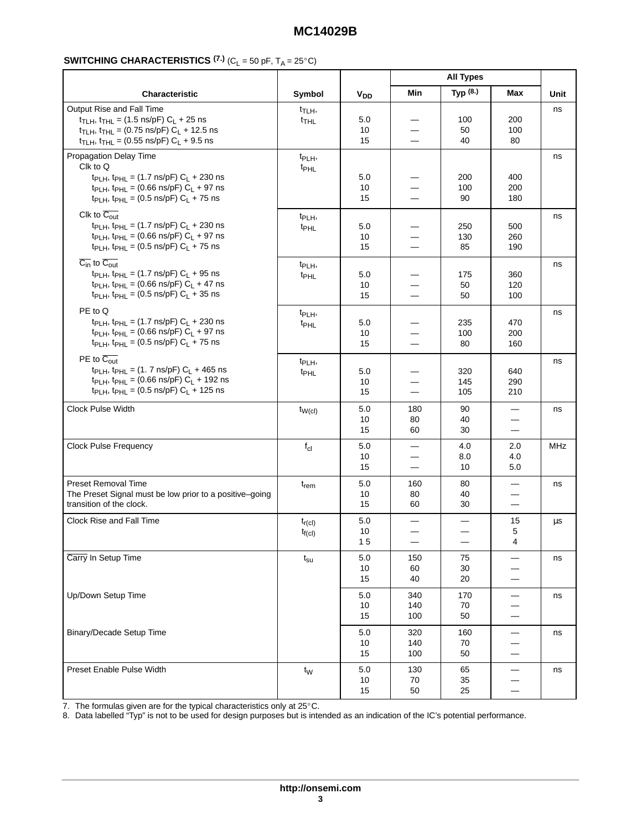#### 

|                                                                                                                                                                                                                                                                                  |                                        |                       | <b>All Types</b>                                                                 |                   |                                                                                 |             |
|----------------------------------------------------------------------------------------------------------------------------------------------------------------------------------------------------------------------------------------------------------------------------------|----------------------------------------|-----------------------|----------------------------------------------------------------------------------|-------------------|---------------------------------------------------------------------------------|-------------|
| Characteristic                                                                                                                                                                                                                                                                   | Symbol                                 | <b>V<sub>DD</sub></b> | Min                                                                              | Typ (8.)          | Max                                                                             | <b>Unit</b> |
| Output Rise and Fall Time<br>$t_{\text{TLH}}$ , $t_{\text{THL}} = (1.5 \text{ ns/pF}) C_{\text{L}} + 25 \text{ ns}$<br>$t_{TLH}$ , $t_{THL}$ = (0.75 ns/pF) $C_L$ + 12.5 ns<br>$t_{\text{TLH}}$ , $t_{\text{THL}}$ = (0.55 ns/pF) $C_L$ + 9.5 ns                                 | $t_{\text{TLH}}$<br><sup>t</sup> THL   | 5.0<br>10<br>15       | —<br>$\qquad \qquad \longleftarrow$                                              | 100<br>50<br>40   | 200<br>100<br>80                                                                | ns          |
| Propagation Delay Time<br>Clk to Q<br>t <sub>PLH</sub> , t <sub>PHL</sub> = (1.7 ns/pF) $C_L$ + 230 ns<br>t <sub>PLH</sub> , t <sub>PHL</sub> = (0.66 ns/pF) $C_L$ + 97 ns<br>$t_{\text{PLH}}$ , $t_{\text{PHL}}$ = (0.5 ns/pF) $C_{\text{L}}$ + 75 ns                           | t <sub>PLH</sub> ,<br>t <sub>PHL</sub> | 5.0<br>10<br>15       | —<br>$\overbrace{\phantom{12322111}}$                                            | 200<br>100<br>90  | 400<br>200<br>180                                                               | ns          |
| Clk to $\overline{C_{out}}$<br>t <sub>PLH</sub> , t <sub>PHL</sub> = (1.7 ns/pF) $C_L$ + 230 ns<br>$t_{\text{PLH}}$ , $t_{\text{PHL}}$ = (0.66 ns/pF) $C_{\text{L}}$ + 97 ns<br>$t_{\text{PLH}}$ , $t_{\text{PHL}}$ = (0.5 ns/pF) $C_{\text{L}}$ + 75 ns                         | t <sub>PLH</sub> ,<br>t <sub>PHL</sub> | 5.0<br>10<br>15       | —<br>$\overline{\phantom{0}}$<br>$\hspace{0.05cm}$                               | 250<br>130<br>85  | 500<br>260<br>190                                                               | ns          |
| $\overline{C_{in}}$ to $\overline{C_{out}}$<br>$t_{\text{PLH}}$ , $t_{\text{PHL}}$ = (1.7 ns/pF) $C_{\text{L}}$ + 95 ns<br>$t_{\text{PLH}}$ , $t_{\text{PHL}}$ = (0.66 ns/pF) $C_{\text{L}}$ + 47 ns<br>$t_{\text{PLH}}$ , $t_{\text{PHL}}$ = (0.5 ns/pF) C <sub>L</sub> + 35 ns | t <sub>PLH</sub> ,<br>t <sub>PHL</sub> | 5.0<br>10<br>15       | $\overline{\phantom{0}}$<br>$\overline{\phantom{0}}$<br>$\overline{\phantom{0}}$ | 175<br>50<br>50   | 360<br>120<br>100                                                               | ns          |
| PE to Q<br>t <sub>PLH</sub> , t <sub>PHL</sub> = (1.7 ns/pF) $C_L$ + 230 ns<br>$t_{\text{PLH}}$ , $t_{\text{PHL}}$ = (0.66 ns/pF) C <sub>L</sub> + 97 ns<br>$t_{\text{PLH}}$ , $t_{\text{PHL}}$ = (0.5 ns/pF) C <sub>L</sub> + 75 ns                                             | t <sub>PLH</sub> ,<br><sup>t</sup> PHL | 5.0<br>10<br>15       | $\equiv$                                                                         | 235<br>100<br>80  | 470<br>200<br>160                                                               | ns          |
| PE to $\overline{C_{out}}$<br>$t_{\text{PLH}}$ , $t_{\text{PHL}} = (1.7 \text{ ns/pF}) C_{\text{L}} + 465 \text{ ns}$<br>$t_{PLH}$ , $t_{PHL}$ = (0.66 ns/pF) $C_L$ + 192 ns<br>t <sub>PLH</sub> , t <sub>PHL</sub> = (0.5 ns/pF) $C_L$ + 125 ns                                 | t <sub>PLH</sub> ,<br>t <sub>PHL</sub> | 5.0<br>10<br>15       | —                                                                                | 320<br>145<br>105 | 640<br>290<br>210                                                               | ns          |
| <b>Clock Pulse Width</b>                                                                                                                                                                                                                                                         | $t_{W(cl)}$                            | 5.0<br>10<br>15       | 180<br>80<br>60                                                                  | 90<br>40<br>30    | $\qquad \qquad -$<br>$\overline{\phantom{0}}$<br>$\qquad \qquad \longleftarrow$ | ns          |
| <b>Clock Pulse Frequency</b>                                                                                                                                                                                                                                                     | $f_{\text{cl}}$                        | 5.0<br>10<br>15       | $\qquad \qquad$<br>$\overline{\phantom{0}}$                                      | 4.0<br>8.0<br>10  | 2.0<br>4.0<br>5.0                                                               | <b>MHz</b>  |
| <b>Preset Removal Time</b><br>The Preset Signal must be low prior to a positive-going<br>transition of the clock.                                                                                                                                                                | $t_{rem}$                              | 5.0<br>10<br>15       | 160<br>80<br>60                                                                  | 80<br>40<br>30    | $\qquad \qquad -$<br>$\overbrace{\phantom{13333}}$                              | ns          |
| Clock Rise and Fall Time                                                                                                                                                                                                                                                         | $t_{r(cl)}$<br>$t_{f(cl)}$             | $5.0\,$<br>10<br>15   | —<br>—                                                                           | —                 | $15\,$<br>5<br>4                                                                | $\mu s$     |
| Carry In Setup Time                                                                                                                                                                                                                                                              | $t_{\rm su}$                           | 5.0<br>10<br>15       | 150<br>60<br>40                                                                  | 75<br>30<br>20    | $\qquad \qquad -$<br>$\overbrace{\phantom{13333}}$<br>—                         | ns          |
| Up/Down Setup Time                                                                                                                                                                                                                                                               |                                        | 5.0<br>10<br>15       | 340<br>140<br>100                                                                | 170<br>70<br>50   | $\qquad \qquad -$<br>$\overline{\phantom{0}}$<br>—                              | ns          |
| <b>Binary/Decade Setup Time</b>                                                                                                                                                                                                                                                  |                                        | 5.0<br>10<br>15       | 320<br>140<br>100                                                                | 160<br>70<br>50   | $\qquad \qquad -$                                                               | ns          |
| Preset Enable Pulse Width                                                                                                                                                                                                                                                        | $t_{\mathsf{W}}$                       | 5.0<br>10<br>15       | 130<br>70<br>50                                                                  | 65<br>35<br>25    | $\qquad \qquad -$<br>$\overline{\phantom{0}}$<br>$\qquad \qquad$                | ns          |

8. Data labelled "Typ" is not to be used for design purposes but is intended as an indication of the IC's potential performance.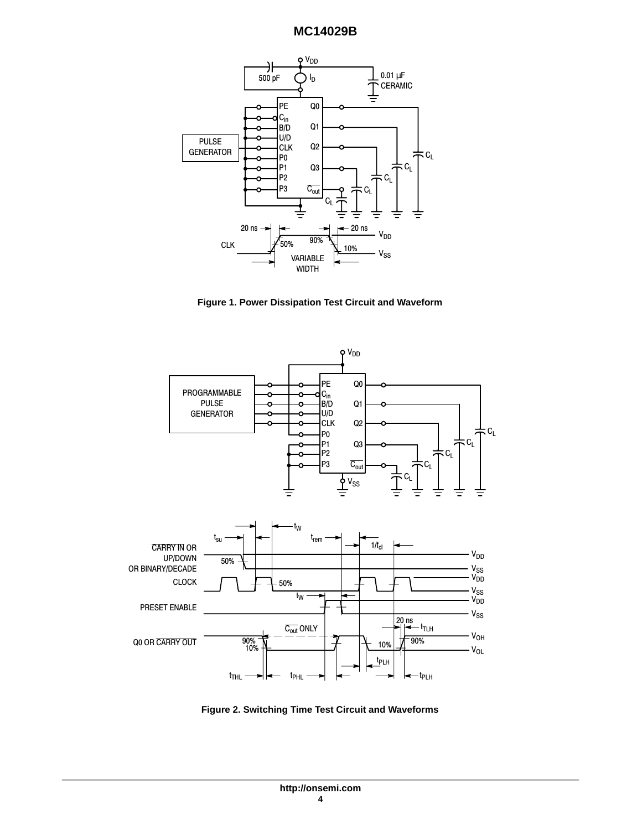

**Figure 1. Power Dissipation Test Circuit and Waveform**



**Figure 2. Switching Time Test Circuit and Waveforms**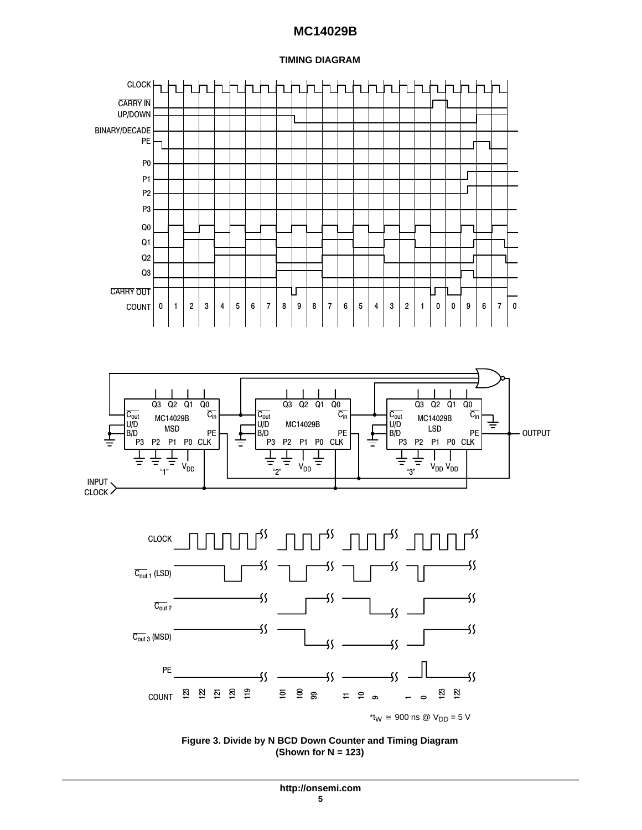#### **TIMING DIAGRAM**



**Figure 3. Divide by N BCD Down Counter and Timing Diagram (Shown for N = 123)**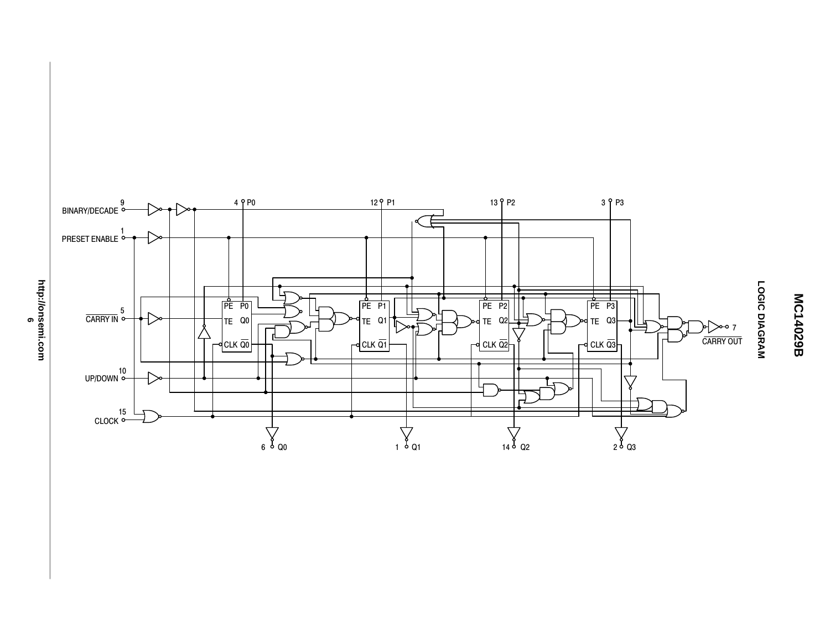

LOGIC DIAGRAM **LOGIC DIAGRAM**

**MC14029B**

MC14029B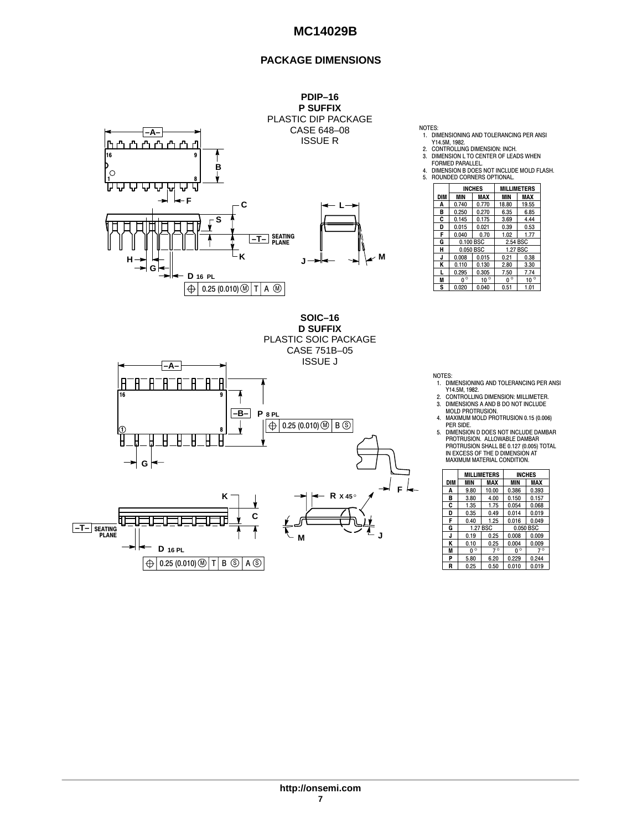#### **PACKAGE DIMENSIONS**



FORMED PARALLEL. 4. DIMENSION B DOES NOT INCLUDE MOLD FLASH. 5. ROUNDED CORNERS OPTIONAL. **DIM MIN MAX MIN MAX**<br>**A** 0.740 0.770 18.80 19.55 INCHES MILLIMETERS 0.770 18.80 19.55<br>0.270 6.35 6.85 B 0.250 0.270 6.35 6.85 C 0.145 0.175 3.69 4.44 0.015 0.021 0.39 0.53<br>0.040 0.70 1.02 1.77  $\begin{array}{|c|c|c|c|c|c|c|}\n\hline\n\text{D} & 0.015 & 0.021 & 0.39 & 0 \\
\hline\n\text{F} & 0.040 & 0.70 & 1.02 & 1 \\
\hline\n\text{G} & 0.100 & \text{BSC} & 2.54 & \text{BSC} \\
\hline\n\end{array}$ 0.100 BSC H 0.050 BSC 1.27 BSC **J** 0.008 0.015 0.21 0.38<br> **K** 0.110 0.130 2.80 3.30<br> **L** 0.295 0.305 7.50 7.74<br> **M** 0 <sup>○</sup> 10 <sup>○</sup> 0 <sup>○</sup> 10 <sup>○</sup> S 0.020 0.040 0.51 1.01  $\frac{0}{1}$ 

1. DIMENSIONING AND TOLERANCING PER ANSI Y14.5M, 1982. 2. CONTROLLING DIMENSION: INCH. 3. DIMENSION L TO CENTER OF LEADS WHEN



NOTES:

- NOTES: 1. DIMENSIONING AND TOLERANCING PER ANSI Y14.5M, 1982. 2. CONTROLLING DIMENSION: MILLIMETER.
- 3. DIMENSIONS A AND B DO NOT INCLUDE MOLD PROTRUSION.

4. MAXIMUM MOLD PROTRUSION 0.15 (0.006)

PER SIDE. 5. DIMENSION D DOES NOT INCLUDE DAMBAR PROTRUSION. ALLOWABLE DAMBAR PROTRUSION SHALL BE 0.127 (0.005) TOTAL IN EXCESS OF THE D DIMENSION AT MAXIMUM MATERIAL CONDITION.

|     |                       | <b>MILLIMETERS</b> |              | <b>INCHES</b> |
|-----|-----------------------|--------------------|--------------|---------------|
| DIM | MIN                   | MAX                | MIN          | <b>MAX</b>    |
| Α   | 9.80                  | 10.00              | 0.386        | 0.393         |
| в   | 3.80                  | 4.00               | 0.150        | 0.157         |
| C   | 0.054<br>1.35<br>1.75 |                    |              | 0.068         |
| D   | 0.35                  | 0.49               | 0.014        | 0.019         |
| F   | 0.40                  | 1.25               | 0.016        | 0.049         |
| G   |                       | 1.27 BSC           |              | 0.050 BSC     |
| J   | 0.19                  | 0.25               | 0.008        | 0.009         |
| ĸ   | 0.10                  | 0.25               | 0.004        | 0.009         |
| M   | $0^{\circ}$           | $7^\circ$          | $\circ$<br>U | $7^\circ$     |
| P   | 5.80                  | 6.20               | 0.229        | 0.244         |
| R   | 0.25                  | 0.50               | 0.010        | 0.019         |